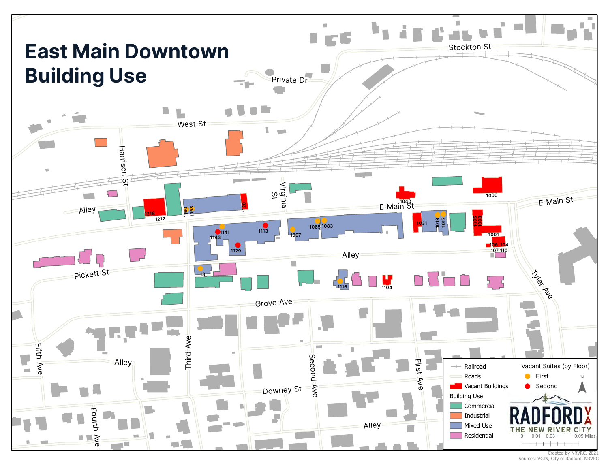

Created by NRVRC, 2021 Sources: VGIN, City of Radford, NRVRC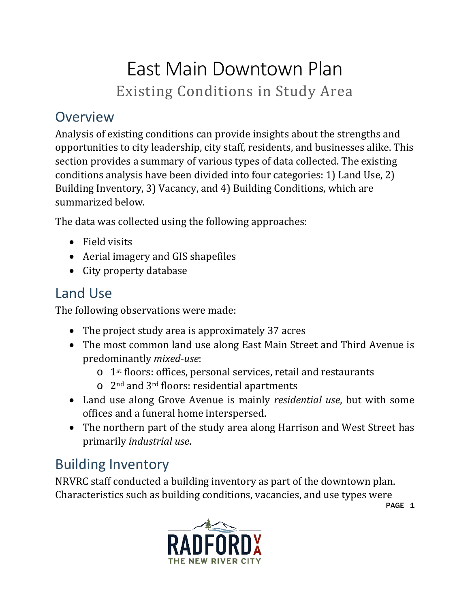# East Main Downtown Plan Existing Conditions in Study Area

#### **Overview**

Analysis of existing conditions can provide insights about the strengths and opportunities to city leadership, city staff, residents, and businesses alike. This section provides a summary of various types of data collected. The existing conditions analysis have been divided into four categories: 1) Land Use, 2) Building Inventory, 3) Vacancy, and 4) Building Conditions, which are summarized below.

The data was collected using the following approaches:

- Field visits
- Aerial imagery and GIS shapefiles
- City property database

#### Land Use

The following observations were made:

- The project study area is approximately 37 acres
- The most common land use along East Main Street and Third Avenue is predominantly *mixed-use*:
	- o 1st floors: offices, personal services, retail and restaurants
	- o 2nd and 3rd floors: residential apartments
- Land use along Grove Avenue is mainly *residential use*, but with some offices and a funeral home interspersed.
- The northern part of the study area along Harrison and West Street has primarily *industrial use*.

### Building Inventory

NRVRC staff conducted a building inventory as part of the downtown plan. Characteristics such as building conditions, vacancies, and use types were



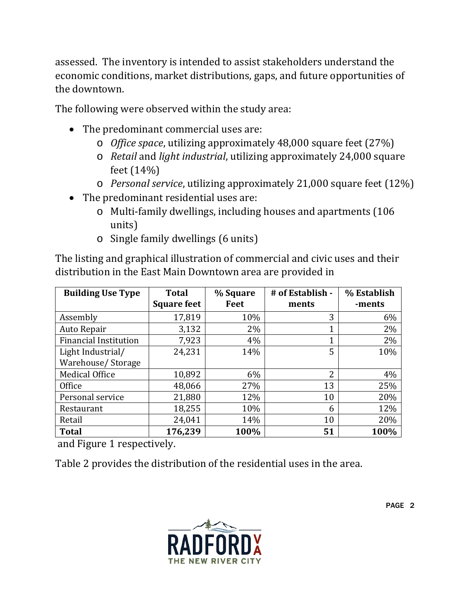assessed. The inventory is intended to assist stakeholders understand the economic conditions, market distributions, gaps, and future opportunities of the downtown.

The following were observed within the study area:

- The predominant commercial uses are:
	- o *Office space*, utilizing approximately 48,000 square feet (27%)
	- o *Retail* and *light industrial*, utilizing approximately 24,000 square feet (14%)
	- o *Personal service*, utilizing approximately 21,000 square feet (12%)
- The predominant residential uses are:
	- o Multi-family dwellings, including houses and apartments (106 units)
	- o Single family dwellings (6 units)

The listing and graphical illustration of commercial and civic uses and their distribution in the East Main Downtown area are provided in

| <b>Building Use Type</b>     | <b>Total</b><br><b>Square feet</b> | % Square<br>Feet | # of Establish -<br>ments | % Establish<br>-ments |
|------------------------------|------------------------------------|------------------|---------------------------|-----------------------|
| Assembly                     | 17,819                             | 10%              | 3                         | 6%                    |
| Auto Repair                  | 3,132                              | 2%               | 1                         | 2%                    |
| <b>Financial Institution</b> | 7,923                              | 4%               | 1                         | 2%                    |
| Light Industrial/            | 24,231                             | 14%              | 5                         | 10%                   |
| Warehouse/Storage            |                                    |                  |                           |                       |
| <b>Medical Office</b>        | 10,892                             | 6%               | っ                         | 4%                    |
| Office                       | 48,066                             | 27%              | 13                        | 25%                   |
| Personal service             | 21,880                             | 12%              | 10                        | 20%                   |
| Restaurant                   | 18,255                             | 10%              | 6                         | 12%                   |
| Retail                       | 24,041                             | 14%              | 10                        | 20%                   |
| <b>Total</b>                 | 176,239                            | 100%             | 51                        | 100%                  |

and [Figure 1](#page-3-1) respectively.

[Table](#page-4-0) 2 provides the distribution of the residential uses in the area.

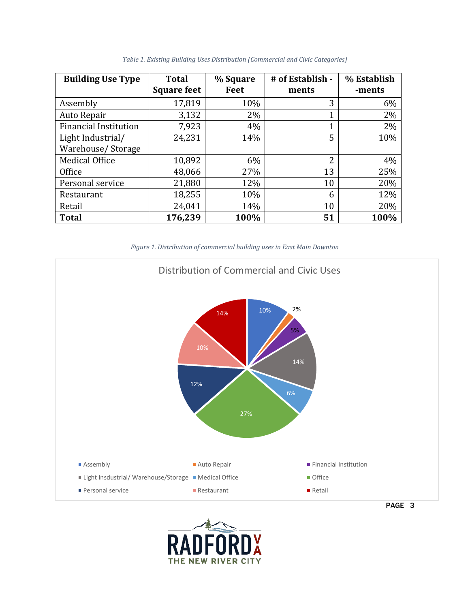<span id="page-3-0"></span>

| <b>Building Use Type</b>     | <b>Total</b><br><b>Square feet</b> | % Square<br>Feet | # of Establish -<br>ments | % Establish<br>-ments |
|------------------------------|------------------------------------|------------------|---------------------------|-----------------------|
| Assembly                     | 17,819                             | 10%              | 3                         | 6%                    |
| Auto Repair                  | 3,132                              | 2%               | 1                         | 2%                    |
| <b>Financial Institution</b> | 7,923                              | 4%               | 1                         | 2%                    |
| Light Industrial/            | 24,231                             | 14%              | 5                         | 10%                   |
| Warehouse/Storage            |                                    |                  |                           |                       |
| <b>Medical Office</b>        | 10,892                             | 6%               | 2                         | 4%                    |
| Office                       | 48,066                             | 27%              | 13                        | 25%                   |
| Personal service             | 21,880                             | 12%              | 10                        | 20%                   |
| Restaurant                   | 18,255                             | 10%              | 6                         | 12%                   |
| Retail                       | 24,041                             | 14%              | 10                        | 20%                   |
| <b>Total</b>                 | 176,239                            | 100%             | 51                        | 100%                  |

*Table 1. Existing Building Uses Distribution (Commercial and Civic Categories)*

*Figure 1. Distribution of commercial building uses in East Main Downton*

<span id="page-3-1"></span>

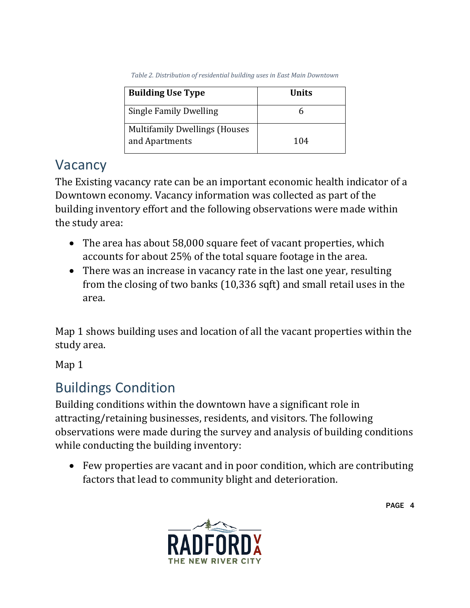*Table 2. Distribution of residential building uses in East Main Downtown*

<span id="page-4-0"></span>

| <b>Building Use Type</b>                               | Units |  |
|--------------------------------------------------------|-------|--|
| <b>Single Family Dwelling</b>                          |       |  |
| <b>Multifamily Dwellings (Houses</b><br>and Apartments | 104   |  |

#### Vacancy

The Existing vacancy rate can be an important economic health indicator of a Downtown economy. Vacancy information was collected as part of the building inventory effort and the following observations were made within the study area:

- The area has about 58,000 square feet of vacant properties, which accounts for about 25% of the total square footage in the area.
- There was an increase in vacancy rate in the last one year, resulting from the closing of two banks (10,336 sqft) and small retail uses in the area.

Map 1 shows building uses and location of all the vacant properties within the study area.

Map 1

## Buildings Condition

Building conditions within the downtown have a significant role in attracting/retaining businesses, residents, and visitors. The following observations were made during the survey and analysis of building conditions while conducting the building inventory:

• Few properties are vacant and in poor condition, which are contributing factors that lead to community blight and deterioration.



PAGE 4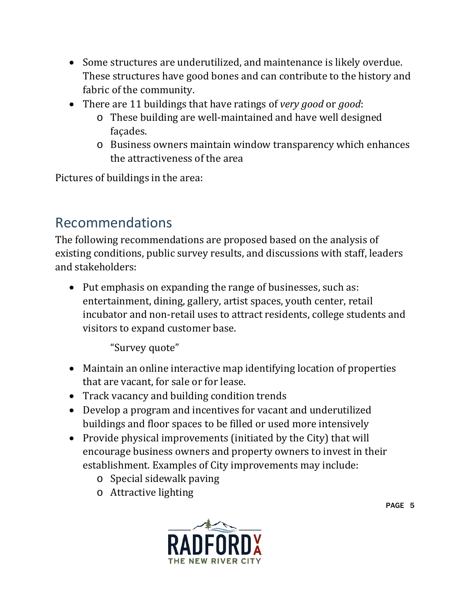- Some structures are underutilized, and maintenance is likely overdue. These structures have good bones and can contribute to the history and fabric of the community.
- There are 11 buildings that have ratings of *very good* or *good*:
	- o These building are well-maintained and have well designed façades.
	- o Business owners maintain window transparency which enhances the attractiveness of the area

Pictures of buildings in the area:

### Recommendations

The following recommendations are proposed based on the analysis of existing conditions, public survey results, and discussions with staff, leaders and stakeholders:

• Put emphasis on expanding the range of businesses, such as: entertainment, dining, gallery, artist spaces, youth center, retail incubator and non-retail uses to attract residents, college students and visitors to expand customer base.

"Survey quote"

- Maintain an online interactive map identifying location of properties that are vacant, for sale or for lease.
- Track vacancy and building condition trends
- Develop a program and incentives for vacant and underutilized buildings and floor spaces to be filled or used more intensively
- Provide physical improvements (initiated by the City) that will encourage business owners and property owners to invest in their establishment. Examples of City improvements may include:
	- o Special sidewalk paving
	- o Attractive lighting